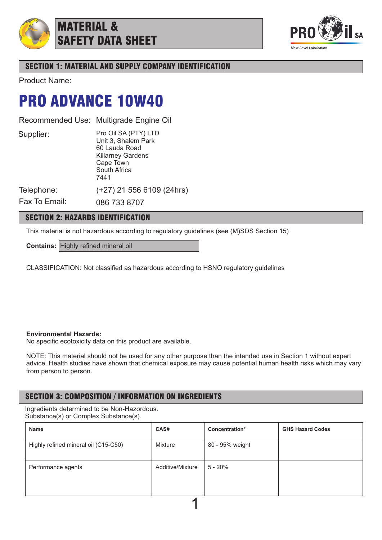

MATERIAL & SAFETY DATA SHEET



# SECTION 1: MATERIAL AND SUPPLY COMPANY IDENTIFICATION

Product Name:

# PRO ADVANCE 10W40

Recommended Use: Multigrade Engine Oil

Supplier:

Pro Oil SA (PTY) LTD Unit 3, Shalem Park 60 Lauda Road Killarney Gardens Cape Town South Africa 7441

(+27) 21 556 6109 (24hrs)

Telephone:

Fax To Email: 086 733 8707

## SECTION 2: HAZARDS IDENTIFICATION

This material is not hazardous according to regulatory guidelines (see (M)SDS Section 15)

**Contains:** Highly refined mineral oil

CLASSIFICATION: Not classified as hazardous according to HSNO regulatory guidelines

## **Environmental Hazards:**

No specific ecotoxicity data on this product are available.

NOTE: This material should not be used for any other purpose than the intended use in Section 1 without expert advice. Health studies have shown that chemical exposure may cause potential human health risks which may vary from person to person.

# SECTION 3: COMPOSITION / INFORMATION ON INGREDIENTS

Ingredients determined to be Non-Hazordous. Substance(s) or Complex Substance(s).

| Name                                 | CAS#             | Concentration*  | <b>GHS Hazard Codes</b> |  |  |  |
|--------------------------------------|------------------|-----------------|-------------------------|--|--|--|
| Highly refined mineral oil (C15-C50) | Mixture          | 80 - 95% weight |                         |  |  |  |
| Performance agents                   | Additive/Mixture | 5 - 20%         |                         |  |  |  |
|                                      |                  |                 |                         |  |  |  |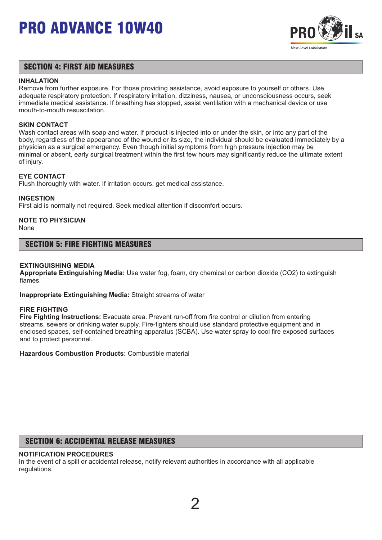

## SECTION 4: FIRST AID MEASURES

### **INHALATION**

Remove from further exposure. For those providing assistance, avoid exposure to yourself or others. Use adequate respiratory protection. If respiratory irritation, dizziness, nausea, or unconsciousness occurs, seek immediate medical assistance. If breathing has stopped, assist ventilation with a mechanical device or use mouth-to-mouth resuscitation.

### **SKIN CONTACT**

Wash contact areas with soap and water. If product is injected into or under the skin, or into any part of the body, regardless of the appearance of the wound or its size, the individual should be evaluated immediately by a physician as a surgical emergency. Even though initial symptoms from high pressure injection may be minimal or absent, early surgical treatment within the first few hours may significantly reduce the ultimate extent of injury.

### **EYE CONTACT**

Flush thoroughly with water. If irritation occurs, get medical assistance.

### **INGESTION**

First aid is normally not required. Seek medical attention if discomfort occurs.

## **NOTE TO PHYSICIAN**

None

### SECTION 5: FIRE FIGHTING MEASURES

### **EXTINGUISHING MEDIA**

**Appropriate Extinguishing Media:** Use water fog, foam, dry chemical or carbon dioxide (CO2) to extinguish flames.

**Inappropriate Extinguishing Media:** Straight streams of water

#### **FIRE FIGHTING**

**Fire Fighting Instructions:** Evacuate area. Prevent run-off from fire control or dilution from entering streams, sewers or drinking water supply. Fire-fighters should use standard protective equipment and in enclosed spaces, self-contained breathing apparatus (SCBA). Use water spray to cool fire exposed surfaces and to protect personnel.

**Hazardous Combustion Products:** Combustible material

## SECTION 6: ACCIDENTAL RELEASE MEASURES

### **NOTIFICATION PROCEDURES**

In the event of a spill or accidental release, notify relevant authorities in accordance with all applicable regulations.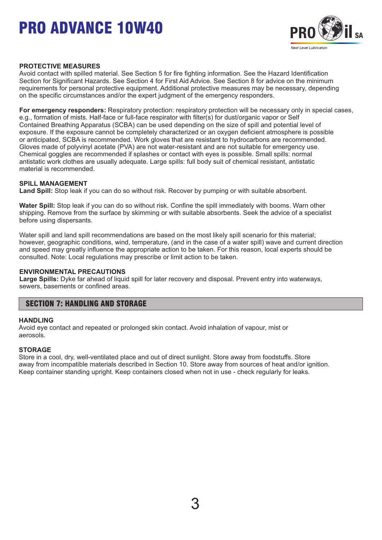

### **PROTECTIVE MEASURES**

Avoid contact with spilled material. See Section 5 for fire fighting information. See the Hazard Identification Section for Significant Hazards. See Section 4 for First Aid Advice. See Section 8 for advice on the minimum requirements for personal protective equipment. Additional protective measures may be necessary, depending on the specific circumstances and/or the expert judgment of the emergency responders.

**For emergency responders:** Respiratory protection: respiratory protection will be necessary only in special cases, e.g., formation of mists. Half-face or full-face respirator with filter(s) for dust/organic vapor or Self Contained Breathing Apparatus (SCBA) can be used depending on the size of spill and potential level of exposure. If the exposure cannot be completely characterized or an oxygen deficient atmosphere is possible or anticipated, SCBA is recommended. Work gloves that are resistant to hydrocarbons are recommended. Gloves made of polyvinyl acetate (PVA) are not water-resistant and are not suitable for emergency use. Chemical goggles are recommended if splashes or contact with eyes is possible. Small spills: normal antistatic work clothes are usually adequate. Large spills: full body suit of chemical resistant, antistatic material is recommended.

### **SPILL MANAGEMENT**

**Land Spill:** Stop leak if you can do so without risk. Recover by pumping or with suitable absorbent.

**Water Spill:** Stop leak if you can do so without risk. Confine the spill immediately with booms. Warn other shipping. Remove from the surface by skimming or with suitable absorbents. Seek the advice of a specialist before using dispersants.

Water spill and land spill recommendations are based on the most likely spill scenario for this material; however, geographic conditions, wind, temperature, (and in the case of a water spill) wave and current direction and speed may greatly influence the appropriate action to be taken. For this reason, local experts should be consulted. Note: Local regulations may prescribe or limit action to be taken.

#### **ENVIRONMENTAL PRECAUTIONS**

**Large Spills:** Dyke far ahead of liquid spill for later recovery and disposal. Prevent entry into waterways, sewers, basements or confined areas.

## SECTION 7: HANDLING AND STORAGE

#### **HANDLING**

Avoid eye contact and repeated or prolonged skin contact. Avoid inhalation of vapour, mist or aerosols.

### **STORAGE**

Store in a cool, dry, well-ventilated place and out of direct sunlight. Store away from foodstuffs. Store away from incompatible materials described in Section 10. Store away from sources of heat and/or ignition. Keep container standing upright. Keep containers closed when not in use - check regularly for leaks.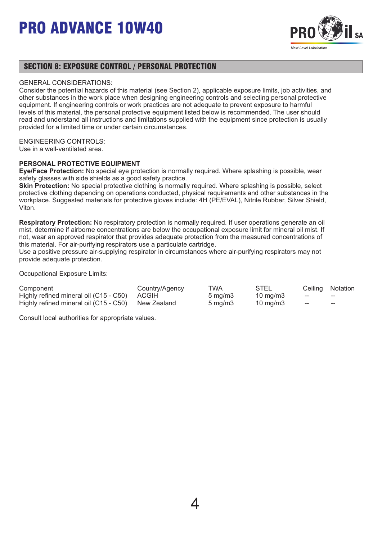

## SECTION 8: EXPOSURE CONTROL / PERSONAL PROTECTION

### GENERAL CONSIDERATIONS:

Consider the potential hazards of this material (see Section 2), applicable exposure limits, job activities, and other substances in the work place when designing engineering controls and selecting personal protective equipment. If engineering controls or work practices are not adequate to prevent exposure to harmful levels of this material, the personal protective equipment listed below is recommended. The user should read and understand all instructions and limitations supplied with the equipment since protection is usually provided for a limited time or under certain circumstances.

### ENGINEERING CONTROLS:

Use in a well-ventilated area.

### **PERSONAL PROTECTIVE EQUIPMENT**

**Eye/Face Protection:** No special eye protection is normally required. Where splashing is possible, wear safety glasses with side shields as a good safety practice.

**Skin Protection:** No special protective clothing is normally required. Where splashing is possible, select protective clothing depending on operations conducted, physical requirements and other substances in the workplace. Suggested materials for protective gloves include: 4H (PE/EVAL), Nitrile Rubber, Silver Shield, Viton.

**Respiratory Protection:** No respiratory protection is normally required. If user operations generate an oil mist, determine if airborne concentrations are below the occupational exposure limit for mineral oil mist. If not, wear an approved respirator that provides adequate protection from the measured concentrations of this material. For air-purifying respirators use a particulate cartridge.

Use a positive pressure air-supplying respirator in circumstances where air-purifying respirators may not provide adequate protection.

Occupational Exposure Limits:

| Component                                          | Country/Agency | TWA                 | STEL              |     | Ceiling Notation |
|----------------------------------------------------|----------------|---------------------|-------------------|-----|------------------|
| Highly refined mineral oil (C15 - C50) ACGIH       |                | $5 \,\mathrm{mq/m}$ | $10 \text{ mg/m}$ | $-$ | $- -$            |
| Highly refined mineral oil (C15 - C50) New Zealand |                | $5 \text{ ma/m}$ 3  | 10 mg/m3          | ——  | $- -$            |

Consult local authorities for appropriate values.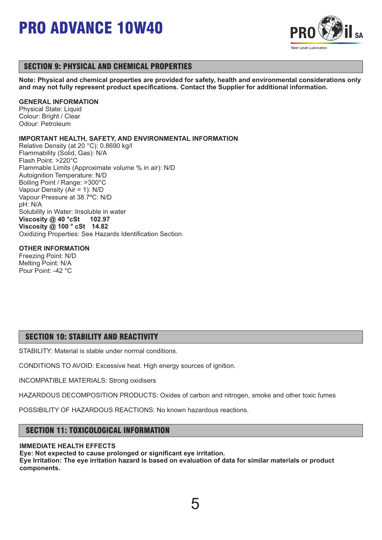

## SECTION 9: PHYSICAL AND CHEMICAL PROPERTIES

**Note: Physical and chemical properties are provided for safety, health and environmental considerations only and may not fully represent product specifications. Contact the Supplier for additional information.**

### **GENERAL INFORMATION**

Physical State: Liquid Colour: Bright / Clear Odour: Petroleum

### **IMPORTANT HEALTH, SAFETY, AND ENVIRONMENTAL INFORMATION**

Relative Density (at 20 °C): 0.8690 kg/l Flammability (Solid, Gas): N/A Flash Point: >220°C Flammable Limits (Approximate volume % in air): N/D Autoignition Temperature: N/D Boiling Point / Range: >300°C Vapour Density (Air = 1): N/D Vapour Pressure at 38.7ºC: N/D pH: N/A Solubility in Water: Insoluble in water **Viscosity @ 40 °cSt 102.97 Viscosity @ 100 ° cSt 14.82** Oxidizing Properties: See Hazards Identification Section.

### **OTHER INFORMATION**

Freezing Point: N/D Melting Point: N/A Pour Point: -42 °C

## SECTION 10: STABILITY AND REACTIVITY

STABILITY: Material is stable under normal conditions.

CONDITIONS TO AVOID: Excessive heat. High energy sources of ignition.

INCOMPATIBLE MATERIALS: Strong oxidisers

HAZARDOUS DECOMPOSITION PRODUCTS: Oxides of carbon and nitrogen, smoke and other toxic fumes

POSSIBILITY OF HAZARDOUS REACTIONS: No known hazardous reactions.

# SECTION 11: TOXICOLOGICAL INFORMATION

### **IMMEDIATE HEALTH EFFECTS**

**Eye: Not expected to cause prolonged or significant eye irritation. Eye Irritation: The eye irritation hazard is based on evaluation of data for similar materials or product components.** 

5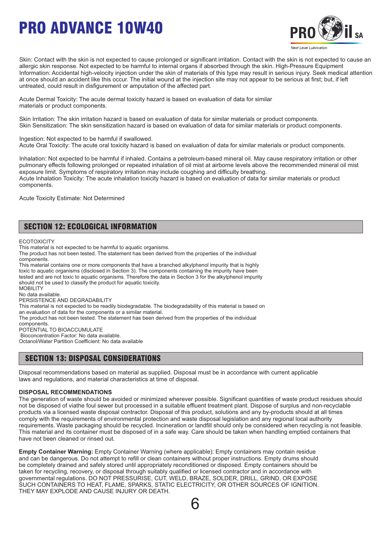

Skin: Contact with the skin is not expected to cause prolonged or significant irritation. Contact with the skin is not expected to cause an allergic skin response. Not expected to be harmful to internal organs if absorbed through the skin. High-Pressure Equipment Information: Accidental high-velocity injection under the skin of materials of this type may result in serious injury. Seek medical attention at once should an accident like this occur. The initial wound at the injection site may not appear to be serious at first; but, if left untreated, could result in disfigurement or amputation of the affected part.

Acute Dermal Toxicity: The acute dermal toxicity hazard is based on evaluation of data for similar materials or product components.

Skin Irritation: The skin irritation hazard is based on evaluation of data for similar materials or product components. Skin Sensitization: The skin sensitization hazard is based on evaluation of data for similar materials or product components.

Ingestion: Not expected to be harmful if swallowed. Acute Oral Toxicity: The acute oral toxicity hazard is based on evaluation of data for similar materials or product components.

Inhalation: Not expected to be harmful if inhaled. Contains a petroleum-based mineral oil. May cause respiratory irritation or other pulmonary effects following prolonged or repeated inhalation of oil mist at airborne levels above the recommended mineral oil mist exposure limit. Symptoms of respiratory irritation may include coughing and difficulty breathing. Acute Inhalation Toxicity: The acute inhalation toxicity hazard is based on evaluation of data for similar materials or product components.

Acute Toxicity Estimate: Not Determined

# SECTION 12: ECOLOGICAL INFORMATION

**ECOTOXICITY** 

This material is not expected to be harmful to aquatic organisms.

The product has not been tested. The statement has been derived from the properties of the individual components.

This material contains one or more components that have a branched alkylphenol impurity that is highly toxic to aquatic organisms (disclosed in Section 3). The components containing the impurity have been tested and are not toxic to aquatic organisms. Therefore the data in Section 3 for the alkylphenol impurity should not be used to classify the product for aquatic toxicity. **MOBILITY** No data available. PERSISTENCE AND DEGRADABILITY This material is not expected to be readily biodegradable. The biodegradability of this material is based on

an evaluation of data for the components or a similar material.

The product has not been tested. The statement has been derived from the properties of the individual

components.

POTENTIAL TO BIOACCUMULATE Bioconcentration Factor: No data available.

Octanol/Water Partition Coefficient: No data available

## SECTION 13: DISPOSAL CONSIDERATIONS

Disposal recommendations based on material as supplied. Disposal must be in accordance with current applicable laws and regulations, and material characteristics at time of disposal.

#### **DISPOSAL RECOMMENDATIONS**

The generation of waste should be avoided or minimized wherever possible. Significant quantities of waste product residues should not be disposed of viathe foul sewer but processed in a suitable effluent treatment plant. Dispose of surplus and non-recyclable products via a licensed waste disposal contractor. Disposal of this product, solutions and any by-products should at all times comply with the requirements of environmental protection and waste disposal legislation and any regional local authority requirements. Waste packaging should be recycled. Incineration or landfill should only be considered when recycling is not feasible. This material and its container must be disposed of in a safe way. Care should be taken when handling emptied containers that have not been cleaned or rinsed out.

**Empty Container Warning:** Empty Container Warning (where applicable): Empty containers may contain residue and can be dangerous. Do not attempt to refill or clean containers without proper instructions. Empty drums should be completely drained and safely stored until appropriately reconditioned or disposed. Empty containers should be taken for recycling, recovery, or disposal through suitably qualified or licensed contractor and in accordance with governmental regulations. DO NOT PRESSURISE, CUT, WELD, BRAZE, SOLDER, DRILL, GRIND, OR EXPOSE SUCH CONTAINERS TO HEAT, FLAME, SPARKS, STATIC ELECTRICITY, OR OTHER SOURCES OF IGNITION. THEY MAY EXPLODE AND CAUSE INJURY OR DEATH.